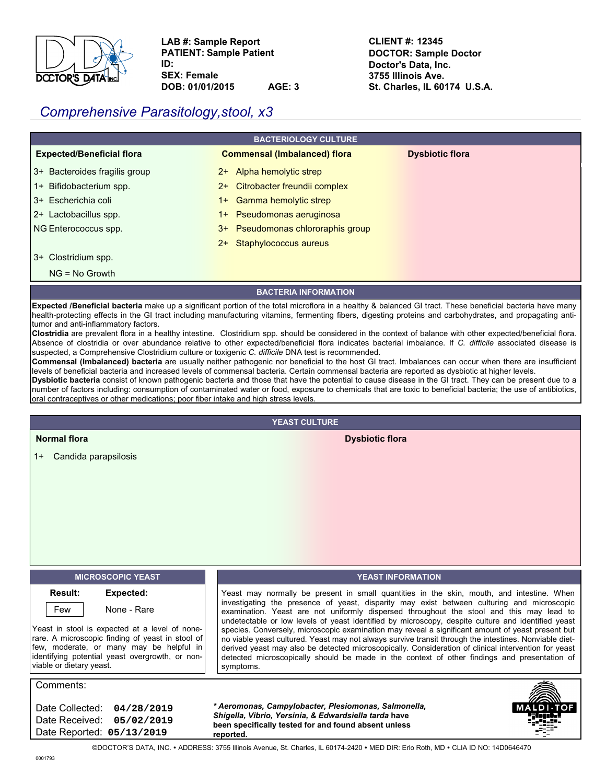

**LAB #: Sample Report PATIENT: Sample Patient ID:**

**SEX: Female DOB: 01/01/2015 AGE: 3** **CLIENT #: 12345 DOCTOR: Sample Doctor Doctor's Data, Inc. 3755 Illinois Ave. St. Charles, IL 60174 U.S.A.**

# *Comprehensive Parasitology,stool, x3*

| <b>BACTERIOLOGY CULTURE</b>          |                                                                                                                                                                                                                                                                                                                                |                        |  |  |  |  |
|--------------------------------------|--------------------------------------------------------------------------------------------------------------------------------------------------------------------------------------------------------------------------------------------------------------------------------------------------------------------------------|------------------------|--|--|--|--|
| <b>Expected/Beneficial flora</b>     | <b>Commensal (Imbalanced) flora</b>                                                                                                                                                                                                                                                                                            | <b>Dysbiotic flora</b> |  |  |  |  |
| 3+ Bacteroides fragilis group        | Alpha hemolytic strep<br>2+                                                                                                                                                                                                                                                                                                    |                        |  |  |  |  |
| 1+ Bifidobacterium spp.              | Citrobacter freundii complex<br>$2+$                                                                                                                                                                                                                                                                                           |                        |  |  |  |  |
| 3+ Escherichia coli                  | Gamma hemolytic strep<br>$1+$                                                                                                                                                                                                                                                                                                  |                        |  |  |  |  |
| 2+ Lactobacillus spp.                | Pseudomonas aeruginosa<br>$1+$                                                                                                                                                                                                                                                                                                 |                        |  |  |  |  |
| NG Enterococcus spp.                 | Pseudomonas chlororaphis group<br>3+                                                                                                                                                                                                                                                                                           |                        |  |  |  |  |
|                                      | Staphylococcus aureus<br>$2+$                                                                                                                                                                                                                                                                                                  |                        |  |  |  |  |
| Clostridium spp.<br>$3+$             |                                                                                                                                                                                                                                                                                                                                |                        |  |  |  |  |
| $NG = No$ Growth                     |                                                                                                                                                                                                                                                                                                                                |                        |  |  |  |  |
| <b>BACTERIA INFORMATION</b>          |                                                                                                                                                                                                                                                                                                                                |                        |  |  |  |  |
| tumor and anti-inflammatory factors. | <b>Expected /Beneficial bacteria</b> make up a significant portion of the total microflora in a healthy & balanced GI tract. These beneficial bacteria have many<br>health-protecting effects in the GI tract including manufacturing vitamins, fermenting fibers, digesting proteins and carbohydrates, and propagating anti- |                        |  |  |  |  |

**Clostridia** are prevalent flora in a healthy intestine. Clostridium spp. should be considered in the context of balance with other expected/beneficial flora. Absence of clostridia or over abundance relative to other expected/beneficial flora indicates bacterial imbalance. If *C. difficile* associated disease is suspected, a Comprehensive Clostridium culture or toxigenic *C. difficile* DNA test is recommended.

**Commensal (Imbalanced) bacteria** are usually neither pathogenic nor beneficial to the host GI tract. Imbalances can occur when there are insufficient levels of beneficial bacteria and increased levels of commensal bacteria. Certain commensal bacteria are reported as dysbiotic at higher levels.

**Dysbiotic bacteria** consist of known pathogenic bacteria and those that have the potential to cause disease in the GI tract. They can be present due to a number of factors including: consumption of contaminated water or food, exposure to chemicals that are toxic to beneficial bacteria; the use of antibiotics, oral contraceptives or other medications; poor fiber intake and high stress levels.

**YEAST CULTURE**

**Normal flora Dysbiotic flora**

1+ Candida parapsilosis

#### **MICROSCOPIC YEAST YEAST INFORMATION Result: Expected:** Few None - Rare Comments: Date Collected: **04/28/2019** Date Received: **05/02/2019** Date Reported: **05/13/2019** Yeast may normally be present in small quantities in the skin, mouth, and intestine. When investigating the presence of yeast, disparity may exist between culturing and microscopic examination. Yeast are not uniformly dispersed throughout the stool and this may lead to undetectable or low levels of yeast identified by microscopy, despite culture and identified yeast species. Conversely, microscopic examination may reveal a significant amount of yeast present but no viable yeast cultured. Yeast may not always survive transit through the intestines. Nonviable dietderived yeast may also be detected microscopically. Consideration of clinical intervention for yeast detected microscopically should be made in the context of other findings and presentation of symptoms. Yeast in stool is expected at a level of nonerare. A microscopic finding of yeast in stool of few, moderate, or many may be helpful in identifying potential yeast overgrowth, or nonviable or dietary yeast. *\* Aeromonas, Campylobacter, Plesiomonas, Salmonella, Shigella, Vibrio, Yersinia, & Edwardsiella tarda* **have been specifically tested for and found absent unless reported.**

©DOCTOR'S DATA, INC. y ADDRESS: 3755 Illinois Avenue, St. Charles, IL 60174-2420 y MED DIR: Erlo Roth, MD y CLIA ID NO: 14D0646470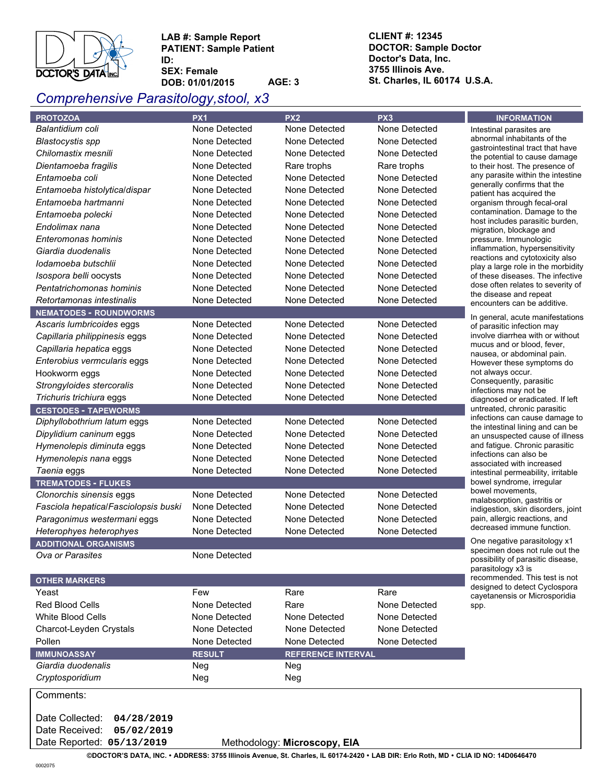

**LAB #: Sample Report PATIENT: Sample Patient ID:** 

**SEX: Female DOB: 01/01/2015 AGE: 3**

# *Comprehensive Parasitology,stool, x3*

**CLIENT #: 12345 DOCTOR: Sample Doctor Doctor's Data, Inc. 3755 Illinois Ave. St. Charles, IL 60174 U.S.A.**

| <b>PROTOZOA</b>                      | PX <sub>1</sub>      | PX <sub>2</sub>                  | PX <sub>3</sub> | <b>INFORMATION</b>                                                     |  |
|--------------------------------------|----------------------|----------------------------------|-----------------|------------------------------------------------------------------------|--|
| Balantidium coli                     | None Detected        | None Detected                    | None Detected   | Intestinal parasites are                                               |  |
| <b>Blastocystis spp</b>              | None Detected        | None Detected                    | None Detected   | abnormal inhabitants of the                                            |  |
| Chilomastix mesnili                  | None Detected        | None Detected                    | None Detected   | gastrointestinal tract that have<br>the potential to cause damage      |  |
| Dientamoeba fragilis                 | None Detected        | Rare trophs                      | Rare trophs     | to their host. The presence of                                         |  |
| Entamoeba coli                       | None Detected        | None Detected                    | None Detected   | any parasite within the intestine                                      |  |
| Entamoeba histolytica/dispar         | None Detected        | None Detected                    | None Detected   | generally confirms that the<br>patient has acquired the                |  |
| Entamoeba hartmanni                  | None Detected        | None Detected                    | None Detected   | organism through fecal-oral                                            |  |
| Entamoeba polecki                    | None Detected        | None Detected                    | None Detected   | contamination. Damage to the                                           |  |
| Endolimax nana                       | None Detected        | None Detected                    | None Detected   | host includes parasitic burden,<br>migration, blockage and             |  |
| Enteromonas hominis                  | None Detected        | None Detected                    | None Detected   | pressure. Immunologic                                                  |  |
| Giardia duodenalis                   | None Detected        | None Detected                    | None Detected   | inflammation, hypersensitivity                                         |  |
| lodamoeba butschlii                  | None Detected        | None Detected                    | None Detected   | reactions and cytotoxicity also                                        |  |
| Isospora belli oocysts               | None Detected        | None Detected                    | None Detected   | play a large role in the morbidity<br>of these diseases. The infective |  |
| Pentatrichomonas hominis             | None Detected        | None Detected                    | None Detected   | dose often relates to severity of                                      |  |
| Retortamonas intestinalis            | None Detected        | None Detected                    | None Detected   | the disease and repeat                                                 |  |
| <b>NEMATODES - ROUNDWORMS</b>        |                      |                                  |                 | encounters can be additive.                                            |  |
| Ascaris lumbricoides eggs            | None Detected        | None Detected                    | None Detected   | In general, acute manifestations<br>of parasitic infection may         |  |
| Capillaria philippinesis eggs        | None Detected        | None Detected                    | None Detected   | involve diarrhea with or without                                       |  |
| Capillaria hepatica eggs             | None Detected        | None Detected                    | None Detected   | mucus and or blood, fever,                                             |  |
| Enterobius vermcularis eggs          | None Detected        | None Detected                    | None Detected   | nausea, or abdominal pain.<br>However these symptoms do                |  |
| Hookworm eggs                        | None Detected        | None Detected                    | None Detected   | not always occur.                                                      |  |
| Strongyloides stercoralis            | None Detected        | None Detected                    | None Detected   | Consequently, parasitic                                                |  |
| Trichuris trichiura eggs             | None Detected        | None Detected                    | None Detected   | infections may not be                                                  |  |
| <b>CESTODES - TAPEWORMS</b>          |                      |                                  |                 | diagnosed or eradicated. If left<br>untreated, chronic parasitic       |  |
| Diphyllobothrium latum eggs          | None Detected        | None Detected                    | None Detected   | infections can cause damage to                                         |  |
| Dipylidium caninum eggs              | None Detected        | None Detected                    | None Detected   | the intestinal lining and can be                                       |  |
| Hymenolepis diminuta eggs            | None Detected        | None Detected                    | None Detected   | an unsuspected cause of illness<br>and fatigue. Chronic parasitic      |  |
| Hymenolepis nana eggs                | None Detected        | None Detected                    | None Detected   | infections can also be                                                 |  |
| Taenia eggs                          | None Detected        | None Detected                    | None Detected   | associated with increased                                              |  |
| <b>TREMATODES - FLUKES</b>           |                      |                                  |                 | intestinal permeability, irritable<br>bowel syndrome, irregular        |  |
| Clonorchis sinensis eggs             | None Detected        | None Detected                    | None Detected   | bowel movements,                                                       |  |
| Fasciola hepatica/Fasciolopsis buski | None Detected        | None Detected                    | None Detected   | malabsorption, gastritis or                                            |  |
| Paragonimus westermani eggs          | None Detected        | None Detected                    | None Detected   | indigestion, skin disorders, joint<br>pain, allergic reactions, and    |  |
| Heterophyes heterophyes              | None Detected        | None Detected                    | None Detected   | decreased immune function.                                             |  |
| <b>ADDITIONAL ORGANISMS</b>          |                      |                                  |                 | One negative parasitology x1                                           |  |
| Ova or Parasites                     | None Detected        |                                  |                 | specimen does not rule out the                                         |  |
|                                      |                      |                                  |                 | possibility of parasitic disease,<br>parasitology x3 is                |  |
| <b>OTHER MARKERS</b>                 |                      |                                  |                 | recommended. This test is not                                          |  |
| Yeast                                | Few                  | Rare                             | Rare            | designed to detect Cyclospora                                          |  |
| <b>Red Blood Cells</b>               | None Detected        | Rare                             | None Detected   | cayetanensis or Microsporidia<br>spp.                                  |  |
| <b>White Blood Cells</b>             | None Detected        | None Detected                    | None Detected   |                                                                        |  |
| Charcot-Leyden Crystals              | None Detected        | None Detected                    | None Detected   |                                                                        |  |
| Pollen                               | None Detected        | None Detected                    | None Detected   |                                                                        |  |
| <b>IMMUNOASSAY</b>                   |                      |                                  |                 |                                                                        |  |
| Giardia duodenalis                   | <b>RESULT</b><br>Neg | <b>REFERENCE INTERVAL</b><br>Neg |                 |                                                                        |  |
| Cryptosporidium                      | Neg                  | Neg                              |                 |                                                                        |  |
|                                      |                      |                                  |                 |                                                                        |  |
| Comments:                            |                      |                                  |                 |                                                                        |  |
| Date Collected:<br>04/28/2019        |                      |                                  |                 |                                                                        |  |
| Date Received:<br>05/02/2019         |                      |                                  |                 |                                                                        |  |
| Date Reported: 05/13/2019            |                      | Methodology: Microscopy, EIA     |                 |                                                                        |  |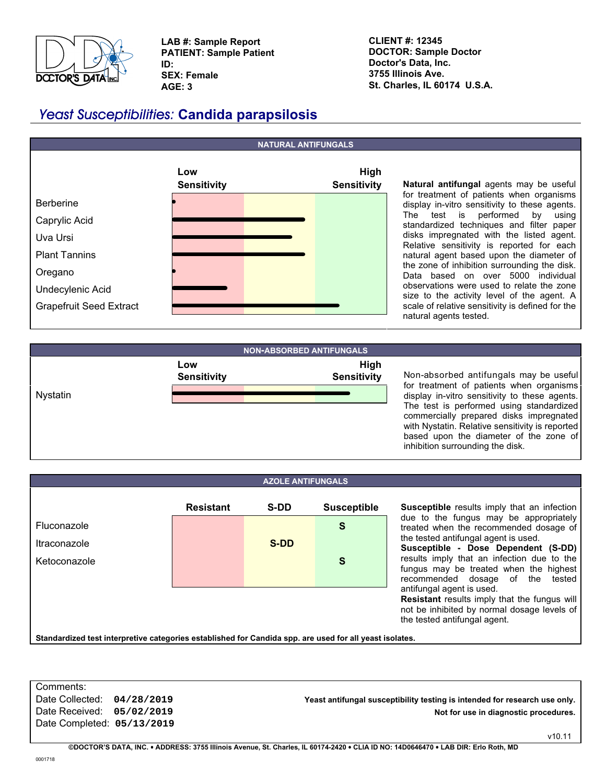

**LAB #: Sample Report PATIENT: Sample Patient ID: SEX: Female AGE: 3**

**CLIENT #: 12345 DOCTOR: Sample Doctor Doctor's Data, Inc. 3755 Illinois Ave. St. Charles, IL 60174 U.S.A.**

# **Yeast Susceptibilities: Candida parapsilosis**



**Natural antifungal** agents may be useful for treatment of patients when organisms display in-vitro sensitivity to these agents. The test is performed by using standardized techniques and filter paper disks impregnated with the listed agent. Relative sensitivity is reported for each natural agent based upon the diameter of the zone of inhibition surrounding the disk. Data based on over 5000 individual observations were used to relate the zone size to the activity level of the agent. A scale of relative sensitivity is defined for the natural agents tested.



Non-absorbed antifungals may be useful for treatment of patients when organisms display in-vitro sensitivity to these agents. The test is performed using standardized commercially prepared disks impregnated with Nystatin. Relative sensitivity is reported based upon the diameter of the zone of inhibition surrounding the disk.

|                                                                                                        |                  | <b>AZOLE ANTIFUNGALS</b> |                    |                           |  |
|--------------------------------------------------------------------------------------------------------|------------------|--------------------------|--------------------|---------------------------|--|
|                                                                                                        | <b>Resistant</b> | <b>S-DD</b>              | <b>Susceptible</b> | <b>Suscep</b>             |  |
| Fluconazole                                                                                            |                  |                          | S                  | due to<br>treated         |  |
| Itraconazole                                                                                           |                  | S-DD                     |                    | the test<br><b>Suscep</b> |  |
| Ketoconazole                                                                                           |                  |                          | S                  | results<br>fungus         |  |
|                                                                                                        |                  |                          |                    | recomm                    |  |
|                                                                                                        |                  |                          |                    | antifung<br>Resista       |  |
|                                                                                                        |                  |                          |                    | not be i<br>the test      |  |
| Standardized toot interpretive categories ostablished for Candida spp. are used for all veget isolates |                  |                          |                    |                           |  |

**stible** results imply that an infection the fungus may be appropriately when the recommended dosage of ed antifungal agent is used. **Susceptible - Dose Dependent (S-DD)** imply that an infection due to the

may be treated when the highest ended dosage of the tested al agent is used.

**nt** results imply that the fungus will nhibited by normal dosage levels of ed antifungal agent.

**Standardized test interpretive categories established for Candida spp. are used for all yeast isolates.**

Comments: Date Completed: **05/13/2019**

Date Collected: **04/28/2019 Yeast antifungal susceptibility testing is intended for research use only.** Date Received: **05/02/2019 Not for use in diagnostic procedures.**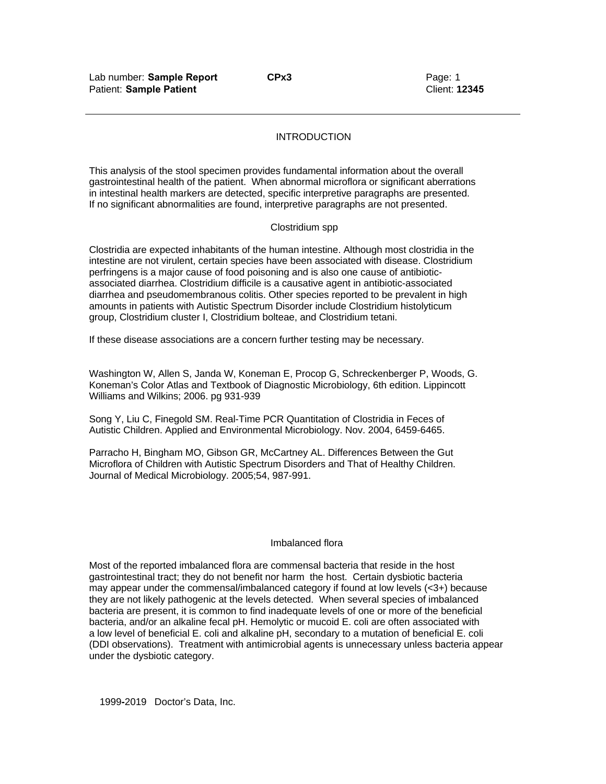## INTRODUCTION

This analysis of the stool specimen provides fundamental information about the overall gastrointestinal health of the patient. When abnormal microflora or significant aberrations in intestinal health markers are detected, specific interpretive paragraphs are presented. If no significant abnormalities are found, interpretive paragraphs are not presented.

### Clostridium spp

Clostridia are expected inhabitants of the human intestine. Although most clostridia in the intestine are not virulent, certain species have been associated with disease. Clostridium perfringens is a major cause of food poisoning and is also one cause of antibioticassociated diarrhea. Clostridium difficile is a causative agent in antibiotic-associated diarrhea and pseudomembranous colitis. Other species reported to be prevalent in high amounts in patients with Autistic Spectrum Disorder include Clostridium histolyticum group, Clostridium cluster I, Clostridium bolteae, and Clostridium tetani.

If these disease associations are a concern further testing may be necessary.

Washington W, Allen S, Janda W, Koneman E, Procop G, Schreckenberger P, Woods, G. Koneman's Color Atlas and Textbook of Diagnostic Microbiology, 6th edition. Lippincott Williams and Wilkins; 2006. pg 931-939

Song Y, Liu C, Finegold SM. Real-Time PCR Quantitation of Clostridia in Feces of Autistic Children. Applied and Environmental Microbiology. Nov. 2004, 6459-6465.

Parracho H, Bingham MO, Gibson GR, McCartney AL. Differences Between the Gut Microflora of Children with Autistic Spectrum Disorders and That of Healthy Children. Journal of Medical Microbiology. 2005;54, 987-991.

### Imbalanced flora

Most of the reported imbalanced flora are commensal bacteria that reside in the host gastrointestinal tract; they do not benefit nor harm the host. Certain dysbiotic bacteria may appear under the commensal/imbalanced category if found at low levels (<3+) because they are not likely pathogenic at the levels detected. When several species of imbalanced bacteria are present, it is common to find inadequate levels of one or more of the beneficial bacteria, and/or an alkaline fecal pH. Hemolytic or mucoid E. coli are often associated with a low level of beneficial E. coli and alkaline pH, secondary to a mutation of beneficial E. coli (DDI observations). Treatment with antimicrobial agents is unnecessary unless bacteria appear under the dysbiotic category.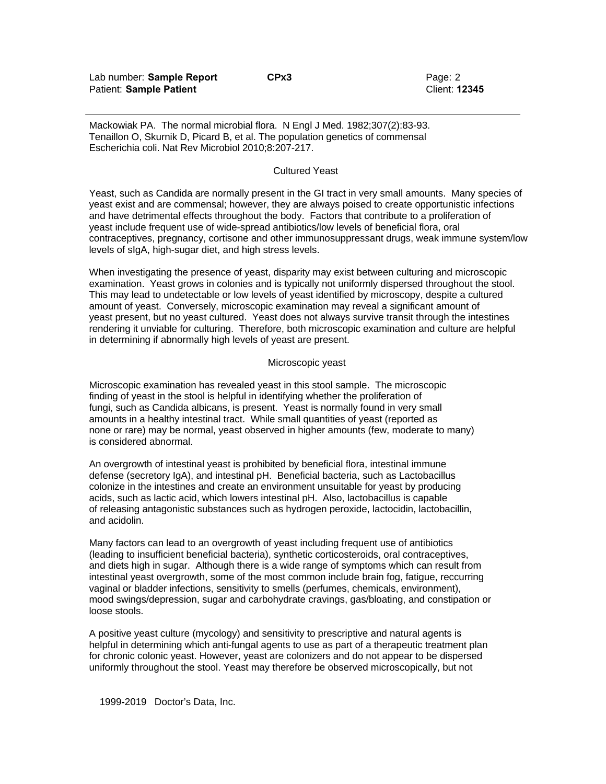Mackowiak PA. The normal microbial flora. N Engl J Med. 1982;307(2):83-93. Tenaillon O, Skurnik D, Picard B, et al. The population genetics of commensal Escherichia coli. Nat Rev Microbiol 2010;8:207-217.

#### Cultured Yeast

Yeast, such as Candida are normally present in the GI tract in very small amounts. Many species of yeast exist and are commensal; however, they are always poised to create opportunistic infections and have detrimental effects throughout the body. Factors that contribute to a proliferation of yeast include frequent use of wide-spread antibiotics/low levels of beneficial flora, oral contraceptives, pregnancy, cortisone and other immunosuppressant drugs, weak immune system/low levels of sIgA, high-sugar diet, and high stress levels.

When investigating the presence of yeast, disparity may exist between culturing and microscopic examination. Yeast grows in colonies and is typically not uniformly dispersed throughout the stool. This may lead to undetectable or low levels of yeast identified by microscopy, despite a cultured amount of yeast. Conversely, microscopic examination may reveal a significant amount of yeast present, but no yeast cultured. Yeast does not always survive transit through the intestines rendering it unviable for culturing. Therefore, both microscopic examination and culture are helpful in determining if abnormally high levels of yeast are present.

### Microscopic yeast

Microscopic examination has revealed yeast in this stool sample. The microscopic finding of yeast in the stool is helpful in identifying whether the proliferation of fungi, such as Candida albicans, is present. Yeast is normally found in very small amounts in a healthy intestinal tract. While small quantities of yeast (reported as none or rare) may be normal, yeast observed in higher amounts (few, moderate to many) is considered abnormal.

An overgrowth of intestinal yeast is prohibited by beneficial flora, intestinal immune defense (secretory IgA), and intestinal pH. Beneficial bacteria, such as Lactobacillus colonize in the intestines and create an environment unsuitable for yeast by producing acids, such as lactic acid, which lowers intestinal pH. Also, lactobacillus is capable of releasing antagonistic substances such as hydrogen peroxide, lactocidin, lactobacillin, and acidolin.

Many factors can lead to an overgrowth of yeast including frequent use of antibiotics (leading to insufficient beneficial bacteria), synthetic corticosteroids, oral contraceptives, and diets high in sugar. Although there is a wide range of symptoms which can result from intestinal yeast overgrowth, some of the most common include brain fog, fatigue, reccurring vaginal or bladder infections, sensitivity to smells (perfumes, chemicals, environment), mood swings/depression, sugar and carbohydrate cravings, gas/bloating, and constipation or loose stools.

A positive yeast culture (mycology) and sensitivity to prescriptive and natural agents is helpful in determining which anti-fungal agents to use as part of a therapeutic treatment plan for chronic colonic yeast. However, yeast are colonizers and do not appear to be dispersed uniformly throughout the stool. Yeast may therefore be observed microscopically, but not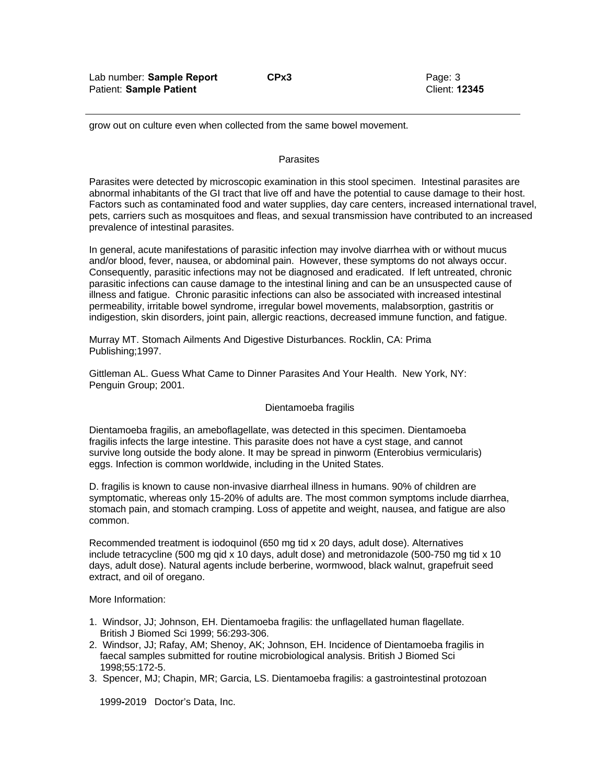grow out on culture even when collected from the same bowel movement.

### **Parasites**

Parasites were detected by microscopic examination in this stool specimen. Intestinal parasites are abnormal inhabitants of the GI tract that live off and have the potential to cause damage to their host. Factors such as contaminated food and water supplies, day care centers, increased international travel, pets, carriers such as mosquitoes and fleas, and sexual transmission have contributed to an increased prevalence of intestinal parasites.

In general, acute manifestations of parasitic infection may involve diarrhea with or without mucus and/or blood, fever, nausea, or abdominal pain. However, these symptoms do not always occur. Consequently, parasitic infections may not be diagnosed and eradicated. If left untreated, chronic parasitic infections can cause damage to the intestinal lining and can be an unsuspected cause of illness and fatigue. Chronic parasitic infections can also be associated with increased intestinal permeability, irritable bowel syndrome, irregular bowel movements, malabsorption, gastritis or indigestion, skin disorders, joint pain, allergic reactions, decreased immune function, and fatigue.

Murray MT. Stomach Ailments And Digestive Disturbances. Rocklin, CA: Prima Publishing;1997.

Gittleman AL. Guess What Came to Dinner Parasites And Your Health. New York, NY: Penguin Group; 2001.

### Dientamoeba fragilis

Dientamoeba fragilis, an ameboflagellate, was detected in this specimen. Dientamoeba fragilis infects the large intestine. This parasite does not have a cyst stage, and cannot survive long outside the body alone. It may be spread in pinworm (Enterobius vermicularis) eggs. Infection is common worldwide, including in the United States.

D. fragilis is known to cause non-invasive diarrheal illness in humans. 90% of children are symptomatic, whereas only 15-20% of adults are. The most common symptoms include diarrhea, stomach pain, and stomach cramping. Loss of appetite and weight, nausea, and fatigue are also common.

Recommended treatment is iodoquinol (650 mg tid x 20 days, adult dose). Alternatives include tetracycline (500 mg qid x 10 days, adult dose) and metronidazole (500-750 mg tid x 10 days, adult dose). Natural agents include berberine, wormwood, black walnut, grapefruit seed extract, and oil of oregano.

More Information:

- 1. Windsor, JJ; Johnson, EH. Dientamoeba fragilis: the unflagellated human flagellate. British J Biomed Sci 1999; 56:293-306.
- 2. Windsor, JJ; Rafay, AM; Shenoy, AK; Johnson, EH. Incidence of Dientamoeba fragilis in faecal samples submitted for routine microbiological analysis. British J Biomed Sci 1998;55:172-5.
- 3. Spencer, MJ; Chapin, MR; Garcia, LS. Dientamoeba fragilis: a gastrointestinal protozoan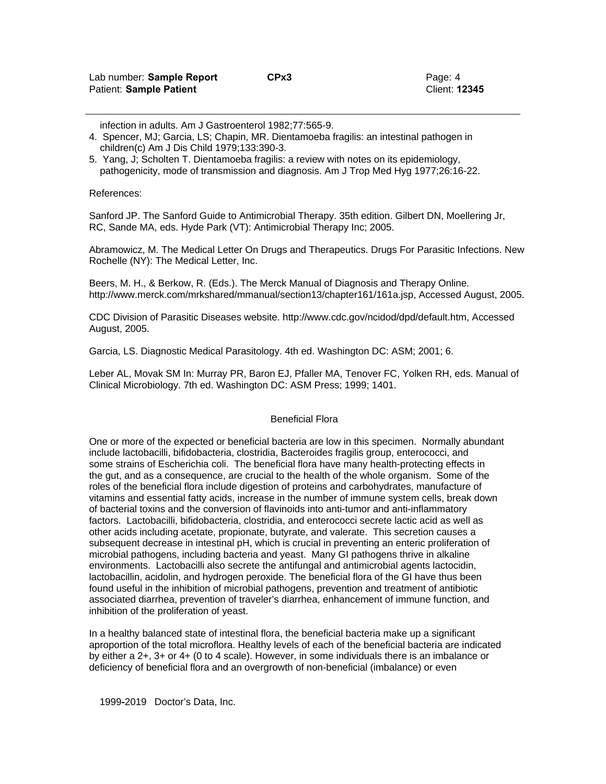infection in adults. Am J Gastroenterol 1982;77:565-9.

- 4. Spencer, MJ; Garcia, LS; Chapin, MR. Dientamoeba fragilis: an intestinal pathogen in children(c) Am J Dis Child 1979;133:390-3.
- 5. Yang, J; Scholten T. Dientamoeba fragilis: a review with notes on its epidemiology, pathogenicity, mode of transmission and diagnosis. Am J Trop Med Hyg 1977;26:16-22.

References:

Sanford JP. The Sanford Guide to Antimicrobial Therapy. 35th edition. Gilbert DN, Moellering Jr, RC, Sande MA, eds. Hyde Park (VT): Antimicrobial Therapy Inc; 2005.

Abramowicz, M. The Medical Letter On Drugs and Therapeutics. Drugs For Parasitic Infections. New Rochelle (NY): The Medical Letter, Inc.

Beers, M. H., & Berkow, R. (Eds.). The Merck Manual of Diagnosis and Therapy Online. http://www.merck.com/mrkshared/mmanual/section13/chapter161/161a.jsp, Accessed August, 2005.

CDC Division of Parasitic Diseases website. http://www.cdc.gov/ncidod/dpd/default.htm, Accessed August, 2005.

Garcia, LS. Diagnostic Medical Parasitology. 4th ed. Washington DC: ASM; 2001; 6.

Leber AL, Movak SM In: Murray PR, Baron EJ, Pfaller MA, Tenover FC, Yolken RH, eds. Manual of Clinical Microbiology. 7th ed. Washington DC: ASM Press; 1999; 1401.

### Beneficial Flora

One or more of the expected or beneficial bacteria are low in this specimen. Normally abundant include lactobacilli, bifidobacteria, clostridia, Bacteroides fragilis group, enterococci, and some strains of Escherichia coli. The beneficial flora have many health-protecting effects in the gut, and as a consequence, are crucial to the health of the whole organism. Some of the roles of the beneficial flora include digestion of proteins and carbohydrates, manufacture of vitamins and essential fatty acids, increase in the number of immune system cells, break down of bacterial toxins and the conversion of flavinoids into anti-tumor and anti-inflammatory factors. Lactobacilli, bifidobacteria, clostridia, and enterococci secrete lactic acid as well as other acids including acetate, propionate, butyrate, and valerate. This secretion causes a subsequent decrease in intestinal pH, which is crucial in preventing an enteric proliferation of microbial pathogens, including bacteria and yeast. Many GI pathogens thrive in alkaline environments. Lactobacilli also secrete the antifungal and antimicrobial agents lactocidin, lactobacillin, acidolin, and hydrogen peroxide. The beneficial flora of the GI have thus been found useful in the inhibition of microbial pathogens, prevention and treatment of antibiotic associated diarrhea, prevention of traveler's diarrhea, enhancement of immune function, and inhibition of the proliferation of yeast.

In a healthy balanced state of intestinal flora, the beneficial bacteria make up a significant aproportion of the total microflora. Healthy levels of each of the beneficial bacteria are indicated by either a 2+, 3+ or 4+ (0 to 4 scale). However, in some individuals there is an imbalance or deficiency of beneficial flora and an overgrowth of non-beneficial (imbalance) or even